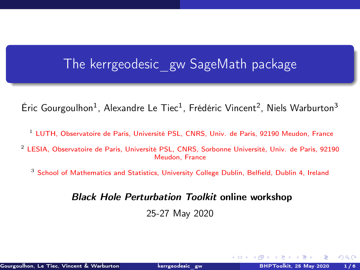### <span id="page-0-0"></span>The kerrgeodesic\_gw SageMath package

Éric Gourgoulhon<sup>1</sup>, Alexandre Le Tiec<sup>1</sup>, Frédéric Vincent<sup>2</sup>, Niels Warburton<sup>3</sup>

- <sup>1</sup> [LUTH, Observatoire de Paris, Université PSL, CNRS, Univ. de Paris, 92190 Meudon, France](https://luth.obspm.fr)
- <sup>2</sup> [LESIA, Observatoire de Paris, Université PSL, CNRS, Sorbonne Université, Univ. de Paris, 92190](https://lesia.obspm.fr) [Meudon, France](https://lesia.obspm.fr)
	- <sup>3</sup> [School of Mathematics and Statistics, University College Dublin, Belfield, Dublin 4, Ireland](http://www.ucd.ie/)

Black Hole Perturbation Toolkit online workshop

25-27 May 2020

 $\Omega$ 

 $\leftarrow$   $\Box$   $\rightarrow$   $\leftarrow$   $\Box$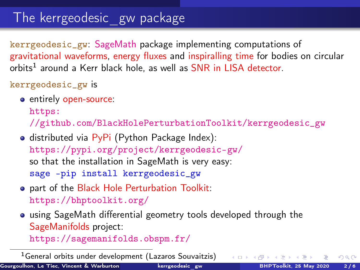### The kerrgeodesic\_gw package

kerrgeodesic\_gw: [SageMath](https://www.sagemath.org/) package implementing computations of gravitational waveforms, energy fluxes and inspiralling time for bodies on circular orbits<sup>1</sup> around a Kerr black hole, as well as SNR in LISA detector.

#### kerrgeodesic\_gw is

**e** entirely open-source:

[https:](https://github.com/BlackHolePerturbationToolkit/kerrgeodesic_gw)

[//github.com/BlackHolePerturbationToolkit/kerrgeodesic\\_gw](https://github.com/BlackHolePerturbationToolkit/kerrgeodesic_gw)

- $\bullet$  distributed via PyPi (Python Package Index): <https://pypi.org/project/kerrgeodesic-gw/> so that the installation in SageMath is very easy: sage -pip install kerrgeodesic\_gw
- part of the Black Hole Perturbation Toolkit: <https://bhptoolkit.org/>
- using SageMath differential geometry tools developed through the SageManifolds project:

<https://sagemanifolds.obspm.fr/>

<sup>1</sup>General orbits under development (Lazaros Souvaitzis)

 $\Omega$ 

 $\leftarrow$   $\equiv$   $\rightarrow$   $\rightarrow$   $\equiv$   $\rightarrow$   $\equiv$   $\rightarrow$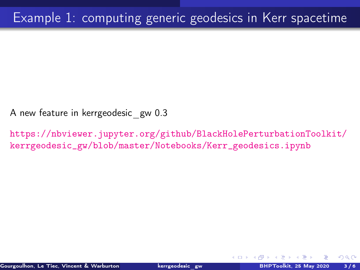A new feature in kerrgeodesic\_gw 0.3

[https://nbviewer.jupyter.org/github/BlackHolePerturbationToolkit/](https://nbviewer.jupyter.org/github/BlackHolePerturbationToolkit/kerrgeodesic_gw/blob/master/Notebooks/Kerr_geodesics.ipynb) [kerrgeodesic\\_gw/blob/master/Notebooks/Kerr\\_geodesics.ipynb](https://nbviewer.jupyter.org/github/BlackHolePerturbationToolkit/kerrgeodesic_gw/blob/master/Notebooks/Kerr_geodesics.ipynb)

 $\Omega$ 

4 0 8 4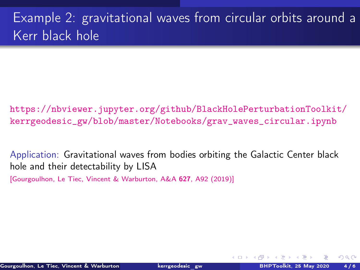# Example 2: gravitational waves from circular orbits around a Kerr black hole

[https://nbviewer.jupyter.org/github/BlackHolePerturbationToolkit/](https://nbviewer.jupyter.org/github/BlackHolePerturbationToolkit/kerrgeodesic_gw/blob/master/Notebooks/grav_waves_circular.ipynb) [kerrgeodesic\\_gw/blob/master/Notebooks/grav\\_waves\\_circular.ipynb](https://nbviewer.jupyter.org/github/BlackHolePerturbationToolkit/kerrgeodesic_gw/blob/master/Notebooks/grav_waves_circular.ipynb)

Application: Gravitational waves from bodies orbiting the Galactic Center black hole and their detectability by LISA

[\[Gourgoulhon, Le Tiec, Vincent & Warburton, A&A](https://doi.org/10.1051/0004-6361/201935406) 627, A92 (2019)]

 $\Omega$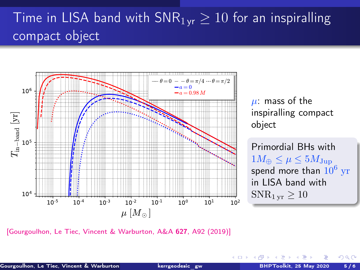# Time in LISA band with  $SNR_{1 \text{vr}} \geq 10$  for an inspiralling compact object



[\[Gourgoulhon, Le Tiec, Vincent & Warburton, A&A](https://doi.org/10.1051/0004-6361/201935406) 627, A92 (2019)]

 $\Omega$ 

4 0 8 4